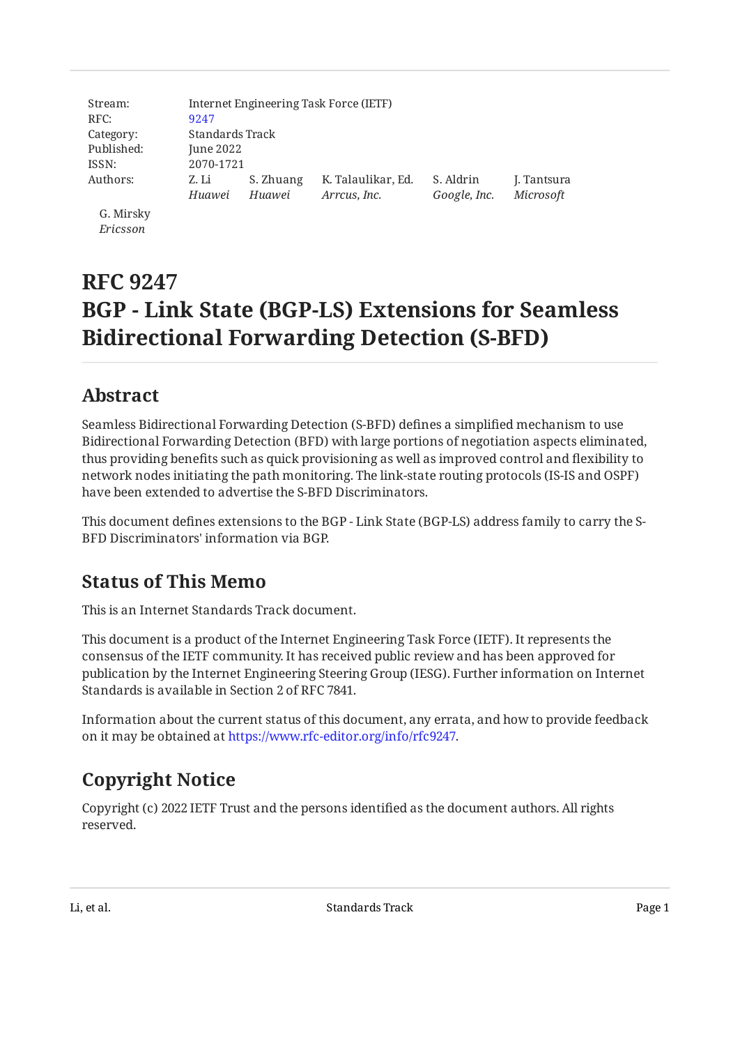| Stream:    | Internet Engineering Task Force (IETF) |           |                    |              |             |  |  |
|------------|----------------------------------------|-----------|--------------------|--------------|-------------|--|--|
| RFC:       | 9247                                   |           |                    |              |             |  |  |
| Category:  | Standards Track                        |           |                    |              |             |  |  |
| Published: | June 2022                              |           |                    |              |             |  |  |
| ISSN:      |                                        | 2070-1721 |                    |              |             |  |  |
| Authors:   | Z. Li                                  | S. Zhuang | K. Talaulikar, Ed. | S. Aldrin    | J. Tantsura |  |  |
|            | Huawei                                 | Huawei    | Arrcus, Inc.       | Google, Inc. | Microsoft   |  |  |
| G. Mirsky  |                                        |           |                    |              |             |  |  |

G. Mirsky *Ericsson*

# **RFC 9247 BGP - Link State (BGP-LS) Extensions for Seamless Bidirectional Forwarding Detection (S-BFD)**

# <span id="page-0-0"></span>**[Abstract](#page-0-0)**

Seamless Bidirectional Forwarding Detection (S-BFD) defines a simplified mechanism to use Bidirectional Forwarding Detection (BFD) with large portions of negotiation aspects eliminated, thus providing benefits such as quick provisioning as well as improved control and flexibility to network nodes initiating the path monitoring. The link-state routing protocols (IS-IS and OSPF) have been extended to advertise the S-BFD Discriminators.

This document defines extensions to the BGP - Link State (BGP-LS) address family to carry the S-BFD Discriminators' information via BGP.

# <span id="page-0-1"></span>**[Status of This Memo](#page-0-1)**

This is an Internet Standards Track document.

This document is a product of the Internet Engineering Task Force (IETF). It represents the consensus of the IETF community. It has received public review and has been approved for publication by the Internet Engineering Steering Group (IESG). Further information on Internet Standards is available in Section 2 of RFC 7841.

Information about the current status of this document, any errata, and how to provide feedback on it may be obtained at [https://www.rfc-editor.org/info/rfc9247.](https://www.rfc-editor.org/info/rfc9247)

# <span id="page-0-2"></span>**[Copyright Notice](#page-0-2)**

Copyright (c) 2022 IETF Trust and the persons identified as the document authors. All rights reserved.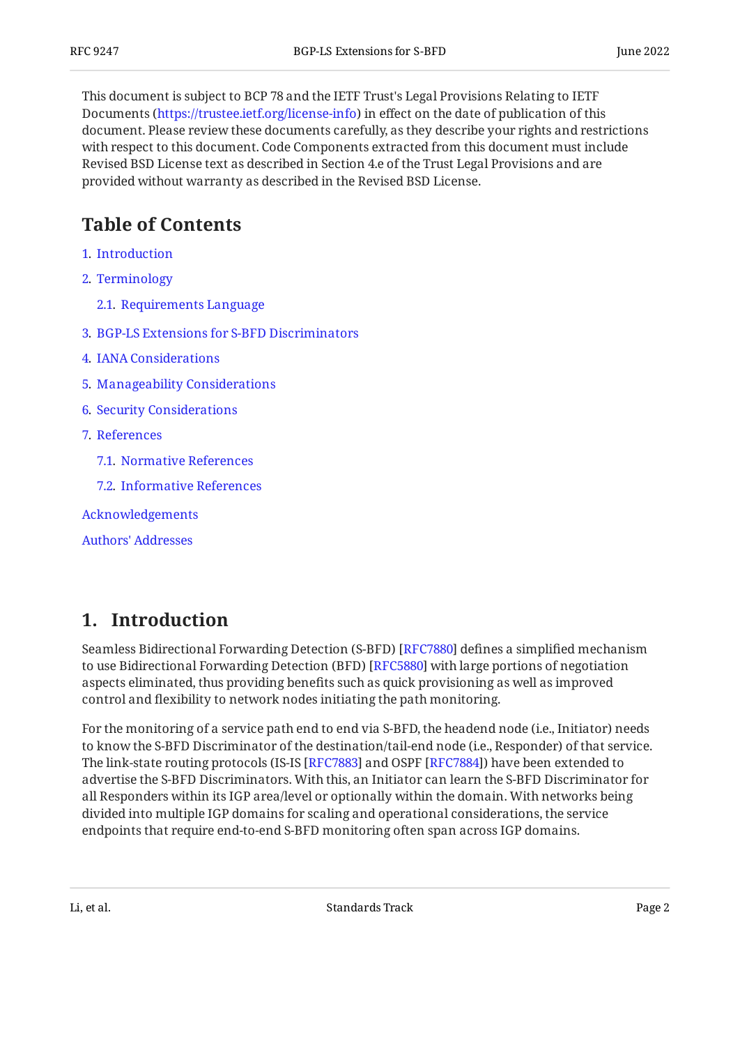This document is subject to BCP 78 and the IETF Trust's Legal Provisions Relating to IETF Documents (<https://trustee.ietf.org/license-info>) in effect on the date of publication of this document. Please review these documents carefully, as they describe your rights and restrictions with respect to this document. Code Components extracted from this document must include Revised BSD License text as described in Section 4.e of the Trust Legal Provisions and are provided without warranty as described in the Revised BSD License.

# <span id="page-1-0"></span>**[Table of Contents](#page-1-0)**

- [1](#page-1-1). [Introduction](#page-1-1)
- [2](#page-2-0). [Terminology](#page-2-0)
	- [2.1.](#page-2-1) [Requirements Language](#page-2-1)
- [3](#page-2-2). [BGP-LS Extensions for S-BFD Discriminators](#page-2-2)
- [4](#page-3-0). [IANA Considerations](#page-3-0)
- [5](#page-3-1). [Manageability Considerations](#page-3-1)
- [6](#page-3-2). [Security Considerations](#page-3-2)
- [7](#page-4-0). [References](#page-4-0)
	- [7.1.](#page-4-1) [Normative References](#page-4-1)
	- [7.2.](#page-4-2) [Informative References](#page-4-2)
- [Acknowledgements](#page-5-0)

[Authors' Addresses](#page-5-1)

### <span id="page-1-1"></span>**[1. Introduction](#page-1-1)**

Seamless Bidirectional Forwarding Detection (S-BFD) [RFC7880] defines a simplified mechanism to use Bidirectional Forwarding Detection (BFD) [[RFC5880\]](#page-4-4) with large portions of negotiation aspects eliminated, thus providing benefits such as quick provisioning as well as improved control and flexibility to network nodes initiating the path monitoring.

For the monitoring of a service path end to end via S-BFD, the headend node (i.e., Initiator) needs to know the S-BFD Discriminator of the destination/tail-end node (i.e., Responder) of that service. The link-state routing protocols (IS-IS [RFC7883] and OSPF [RFC7884]) have been extended to advertise the S-BFD Discriminators. With this, an Initiator can learn the S-BFD Discriminator for all Responders within its IGP area/level or optionally within the domain. With networks being divided into multiple IGP domains for scaling and operational considerations, the service endpoints that require end-to-end S-BFD monitoring often span across IGP domains.

Li, et al. Standards Track Page 2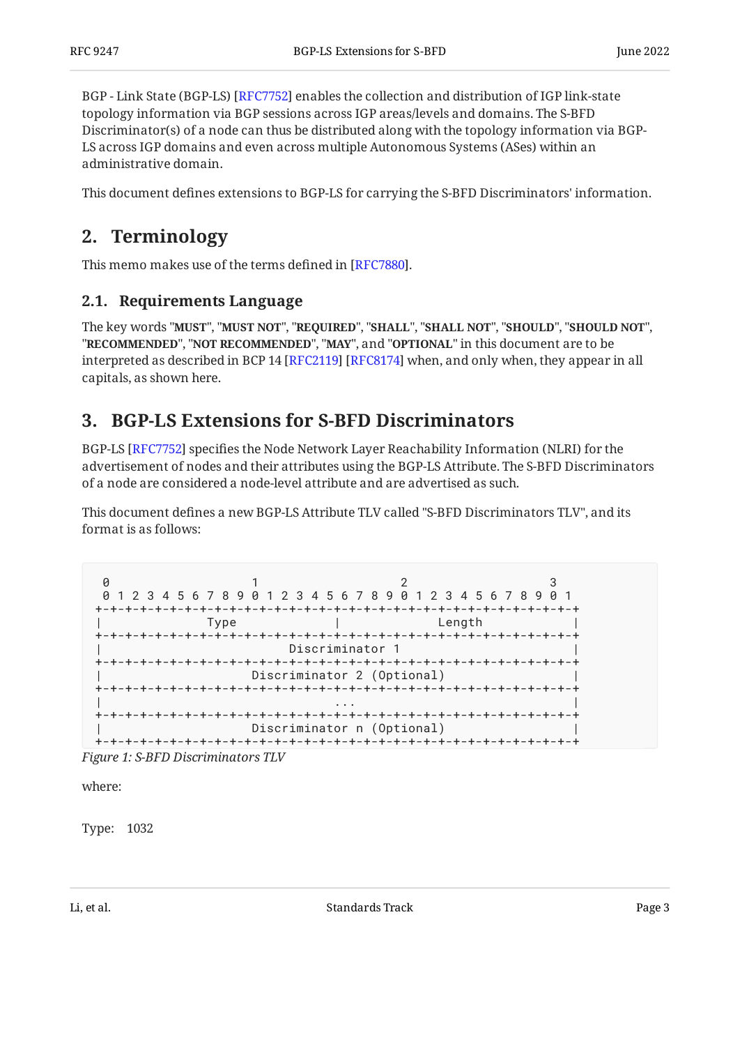BGP - Link State (BGP-LS) [RFC7752] enables the collection and distribution of IGP link-state topology information via BGP sessions across IGP areas/levels and domains. The S-BFD Discriminator(s) of a node can thus be distributed along with the topology information via BGP-LS across IGP domains and even across multiple Autonomous Systems (ASes) within an administrative domain.

<span id="page-2-0"></span>This document defines extensions to BGP-LS for carrying the S-BFD Discriminators' information.

### **[2. Terminology](#page-2-0)**

<span id="page-2-1"></span>This memo makes use of the terms defined in [RFC7880].

### **[2.1. Requirements Language](#page-2-1)**

The key words "MUST", "MUST NOT", "REQUIRED", "SHALL", "SHALL NOT", "SHOULD", "SHOULD NOT", "**RECOMMENDED", "NOT RECOMMENDED", "MAY",** and "OPTIONAL" in this document are to be interpreted as described in BCP 14 [RFC2119] [RFC8174] when, and only when, they appear in all capitals, as shown here.

### <span id="page-2-2"></span>**[3. BGP-LS Extensions for S-BFD Discriminators](#page-2-2)**

BGP-LS [\[RFC7752](#page-4-7)] specifies the Node Network Layer Reachability Information (NLRI) for the advertisement of nodes and their attributes using the BGP-LS Attribute. The S-BFD Discriminators of a node are considered a node-level attribute and are advertised as such.

This document defines a new BGP-LS Attribute TLV called "S-BFD Discriminators TLV", and its format is as follows:

```
0 1 2 3
 0 1 2 3 4 5 6 7 8 9 0 1 2 3 4 5 6 7 8 9 0 1 2 3 4 5 6 7 8 9 0 1
+-+-+-+-+-+-+-+-+-+-+-+-+-+-+-+-+-+-+-+-+-+-+-+-+-+-+-+-+-+-+-+-+
| Type | Length |
+-+-+-+-+-+-+-+-+-+-+-+-+-+-+-+-+-+-+-+-+-+-+-+-+-+-+-+-+-+-+-+-+
                        Discriminator 1
    +-+-+-+-+-+-+-+-+-+-+-+-+-+-+-+-+-+-+-+-+-+-+-+-+-+-+-+-+-+-+-+-+
                    Discriminator 2 (Optional)
  +-+-+-+-+-+-+-+-+-+-+-+-+-+-+-+-+-+-+-+-+-+-+-+-+-+-+-+-+-+-+-+-+
| ... | ... | ... | ... | ... | ... | ... | ... | ... | ... | ... | ... | ... | ... | ... | ... | ... | ... | 1
+-+-+-+-+-+-+-+-+-+-+-+-+-+-+-+-+-+-+-+-+-+-+-+-+-+-+-+-+-+-+-+-+
                    Discriminator n (Optional)
+-+-+-+-+-+-+-+-+-+-+-+-+-+-+-+-+-+-+-+-+-+-+-+-+-+-+-+-+-+-+-+-+
```
*[Figure 1: S-BFD Discriminators TLV](#page-2-3)* 

where:

Type: 1032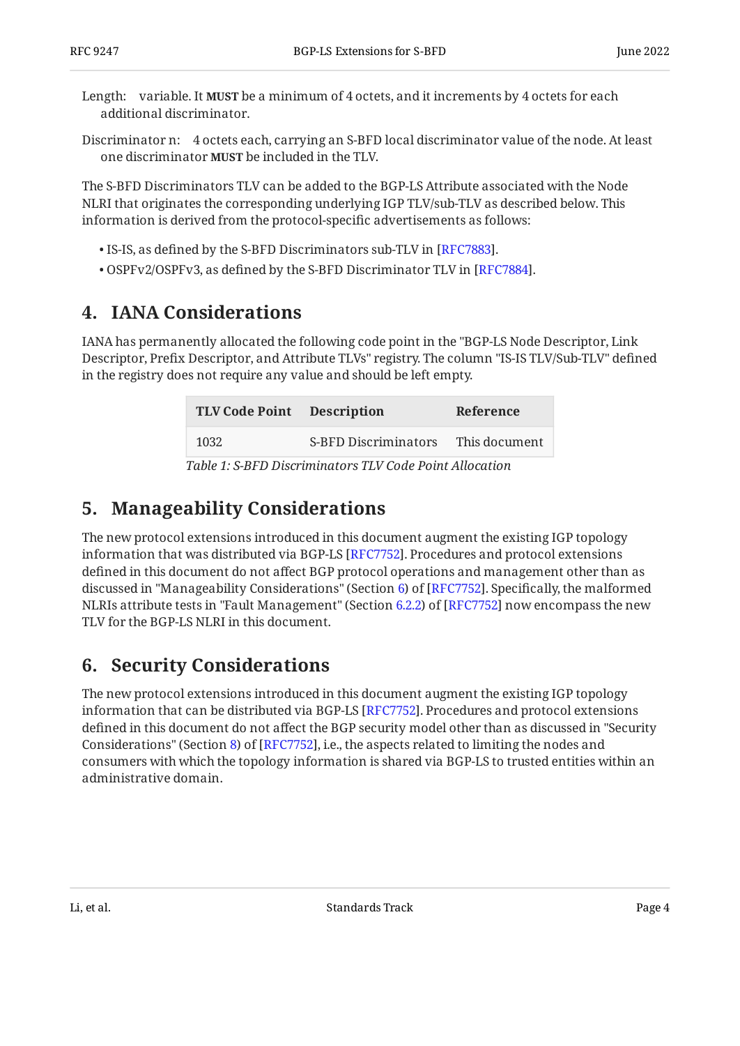- Length: variable. It **MUST** be a minimum of 4 octets, and it increments by 4 octets for each additional discriminator.
- Discriminator n: 4 octets each, carrying an S-BFD local discriminator value of the node. At least one discriminator **MUST** be included in the TLV.

The S-BFD Discriminators TLV can be added to the BGP-LS Attribute associated with the Node NLRI that originates the corresponding underlying IGP TLV/sub-TLV as described below. This information is derived from the protocol-specific advertisements as follows:

- $\bullet$  IS-IS, as defined by the S-BFD Discriminators sub-TLV in [RFC7883].
- <span id="page-3-0"></span> $\bullet$  OSPFv2/OSPFv3, as defined by the S-BFD Discriminator TLV in [RFC7884].

### **[4. IANA Considerations](#page-3-0)**

<span id="page-3-4"></span>IANA has permanently allocated the following code point in the "BGP-LS Node Descriptor, Link Descriptor, Prefix Descriptor, and Attribute TLVs" registry. The column "IS-IS TLV/Sub-TLV" defined in the registry does not require any value and should be left empty.

<span id="page-3-3"></span>

| TLV Code Point Description                                                                                                                                                                                                                                                                                                                                                          |                             | Reference     |  |  |  |
|-------------------------------------------------------------------------------------------------------------------------------------------------------------------------------------------------------------------------------------------------------------------------------------------------------------------------------------------------------------------------------------|-----------------------------|---------------|--|--|--|
| 1032                                                                                                                                                                                                                                                                                                                                                                                | <b>S-BFD Discriminators</b> | This document |  |  |  |
| $T_{\rm eff}$ , $\ell$ , $\ell$ , $\overline{D}$ , $\overline{D}$ , $\overline{D}$ , $\overline{D}$ , $\overline{D}$ , $\overline{D}$ , $\overline{D}$ , $\overline{D}$ , $\overline{D}$ , $\overline{D}$ , $\overline{D}$ , $\overline{D}$ , $\overline{D}$ , $\overline{D}$ , $\overline{D}$ , $\overline{D}$ , $\overline{D}$ , $\overline{D}$ , $\overline{D}$ , $\overline{D}$ |                             |               |  |  |  |

*[Table 1:](#page-3-3) [S-BFD Discriminators TLV Code Point Allocation](#page-3-4)* 

# <span id="page-3-1"></span>**[5. Manageability Considerations](#page-3-1)**

The new protocol extensions introduced in this document augment the existing IGP topology information that was distributed via BGP-LS [RFC7752]. Procedures and protocol extensions defined in this document do not affect BGP protocol operations and management other than as discussed in "Manageability Considerations" (Section [6](https://www.rfc-editor.org/rfc/rfc7752#section-6)) of [RFC7752]. Specifically, the malformed NLRIs attribute tests in "Fault Management" (Section [6.2.2\)](https://www.rfc-editor.org/rfc/rfc7752#section-6.2.2) of [RFC7752] now encompass the new TLV for the BGP-LS NLRI in this document.

# <span id="page-3-2"></span>**[6. Security Considerations](#page-3-2)**

The new protocol extensions introduced in this document augment the existing IGP topology information that can be distributed via BGP-LS [[RFC7752\]](#page-4-7). Procedures and protocol extensions defined in this document do not affect the BGP security model other than as discussed in "Security Considerations" (Section [8](https://www.rfc-editor.org/rfc/rfc7752#section-8)) of [\[RFC7752\]](#page-4-7), i.e., the aspects related to limiting the nodes and consumers with which the topology information is shared via BGP-LS to trusted entities within an administrative domain.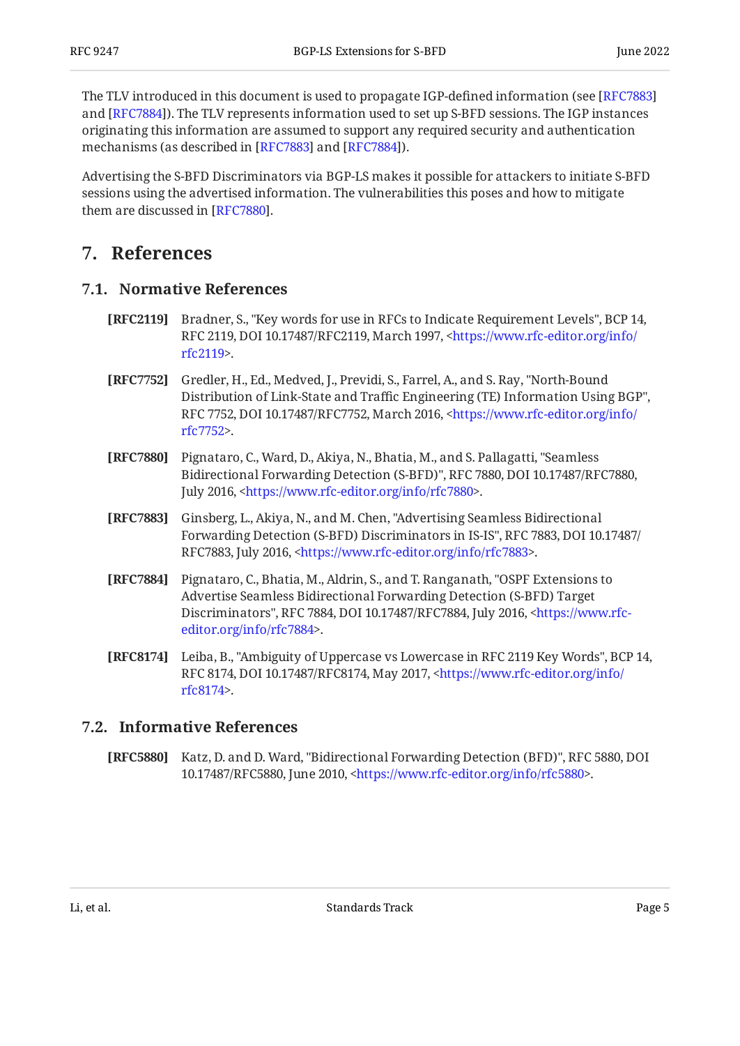The TLV introduced in this document is used to propagate IGP-defined information (see [\[RFC7883\]](#page-4-5) and [RFC7884]). The TLV represents information used to set up S-BFD sessions. The IGP instances originating this information are assumed to support any required security and authentication mechanisms (as described in [RFC7883] and [RFC7884]).

Advertising the S-BFD Discriminators via BGP-LS makes it possible for attackers to initiate S-BFD sessions using the advertised information. The vulnerabilities this poses and how to mitigate them are discussed in [RFC7880].

### <span id="page-4-1"></span><span id="page-4-0"></span>**[7. References](#page-4-0)**

### **[7.1. Normative References](#page-4-1)**

- <span id="page-4-8"></span>**[RFC2119]** Bradner, S., "Key words for use in RFCs to Indicate Requirement Levels", BCP 14, RFC 2119, DOI 10.17487/RFC2119, March 1997, [<https://www.rfc-editor.org/info/](https://www.rfc-editor.org/info/rfc2119) . [rfc2119](https://www.rfc-editor.org/info/rfc2119)>
- <span id="page-4-7"></span>**[RFC7752]** Gredler, H., Ed., Medved, J., Previdi, S., Farrel, A., and S. Ray, "North-Bound , Distribution of Link-State and Traffic Engineering (TE) Information Using BGP" RFC 7752, DOI 10.17487/RFC7752, March 2016, [<https://www.rfc-editor.org/info/](https://www.rfc-editor.org/info/rfc7752) . [rfc7752](https://www.rfc-editor.org/info/rfc7752)>
- <span id="page-4-3"></span>**[RFC7880]** Pignataro, C., Ward, D., Akiya, N., Bhatia, M., and S. Pallagatti, "Seamless Bidirectional Forwarding Detection (S-BFD)", RFC 7880, DOI 10.17487/RFC7880, July 2016, <[https://www.rfc-editor.org/info/rfc7880>](https://www.rfc-editor.org/info/rfc7880).
- <span id="page-4-5"></span>**[RFC7883]** Ginsberg, L., Akiya, N., and M. Chen, "Advertising Seamless Bidirectional , , Forwarding Detection (S-BFD) Discriminators in IS-IS" RFC 7883 DOI 10.17487/ RFC7883, July 2016, [<https://www.rfc-editor.org/info/rfc7883>](https://www.rfc-editor.org/info/rfc7883).
- <span id="page-4-6"></span>**[RFC7884]** Pignataro, C., Bhatia, M., Aldrin, S., and T. Ranganath, "OSPF Extensions to Discriminators", RFC 7884, DOI 10.17487/RFC7884, July 2016, <[https://www.rfc-](https://www.rfc-editor.org/info/rfc7884). [editor.org/info/rfc7884](https://www.rfc-editor.org/info/rfc7884)> Advertise Seamless Bidirectional Forwarding Detection (S-BFD) Target
- <span id="page-4-9"></span>**[RFC8174]** Leiba, B., "Ambiguity of Uppercase vs Lowercase in RFC 2119 Key Words", BCP 14, RFC 8174, DOI 10.17487/RFC8174, May 2017, <[https://www.rfc-editor.org/info/](https://www.rfc-editor.org/info/rfc8174) . [rfc8174](https://www.rfc-editor.org/info/rfc8174)>

### <span id="page-4-2"></span>**[7.2. Informative References](#page-4-2)**

<span id="page-4-4"></span>**[RFC5880]** Katz, D. and D. Ward, "Bidirectional Forwarding Detection (BFD)", RFC 5880, DOI 10.17487/RFC5880, June 2010, <https://www.rfc-editor.org/info/rfc5880>.